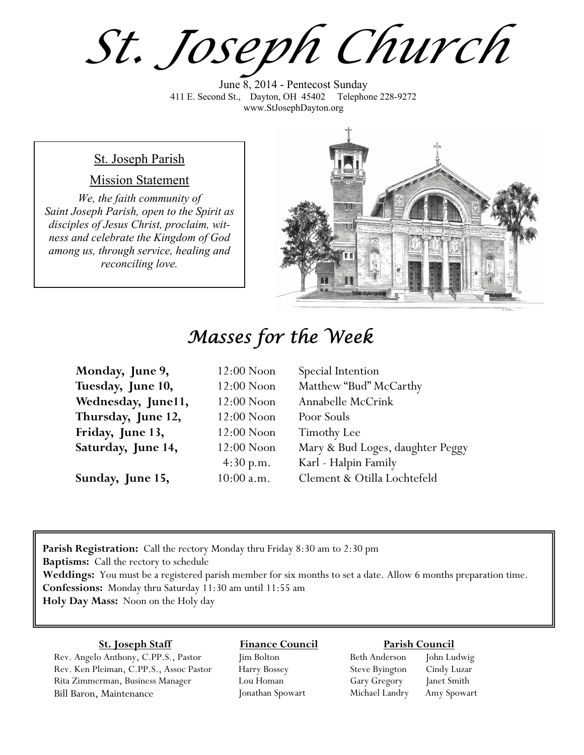*St. Joseph Church*

June 8, 2014 - Pentecost Sunday 411 E. Second St., Dayton, OH 45402 Telephone 228-9272 www.StJosephDayton.org

#### St. Joseph Parish

#### Mission Statement

*We, the faith community of Saint Joseph Parish, open to the Spirit as disciples of Jesus Christ, proclaim, witness and celebrate the Kingdom of God among us, through service, healing and reconciling love.*



# *Masses for the Week*

| Monday, June 9,    | $12:00$ Noon | Special Intention                |
|--------------------|--------------|----------------------------------|
| Tuesday, June 10,  | $12:00$ Noon | Matthew "Bud" McCarthy           |
| Wednesday, June11, | $12:00$ Noon | Annabelle McCrink                |
| Thursday, June 12, | $12:00$ Noon | Poor Souls                       |
| Friday, June 13,   | $12:00$ Noon | Timothy Lee                      |
| Saturday, June 14, | $12:00$ Noon | Mary & Bud Loges, daughter Peggy |
|                    | 4:30 p.m.    | Karl - Halpin Family             |
| Sunday, June 15,   | $10:00$ a.m. | Clement & Otilla Lochtefeld      |

**Parish Registration:** Call the rectory Monday thru Friday 8:30 am to 2:30 pm **Baptisms:** Call the rectory to schedule **Weddings:** You must be a registered parish member for six months to set a date. Allow 6 months preparation time. **Confessions:** Monday thru Saturday 11:30 am until 11:55 am **Holy Day Mass:** Noon on the Holy day

#### **St. Joseph Staff**

Rev. Angelo Anthony, C.PP.S., Pastor Rev. Ken Pleiman, C.PP.S., Assoc Pastor Rita Zimmerman, Business Manager Bill Baron, Maintenance

**Finance Council** Jim Bolton Harry Bossey

Lou Homan Jonathan Spowart

#### **Parish Council**

Beth Anderson John Ludwig Steve Byington Cindy Luzar Gary Gregory Janet Smith Michael Landry Amy Spowart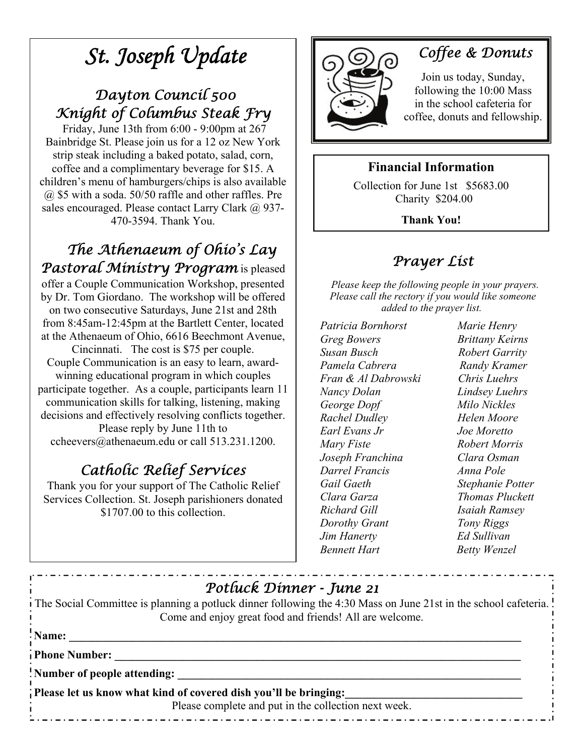# *St. Joseph Update*

# *Dayton Council 500 Knight of Columbus Steak Fry*

 Friday, June 13th from 6:00 - 9:00pm at 267 Bainbridge St. Please join us for a 12 oz New York strip steak including a baked potato, salad, corn, coffee and a complimentary beverage for \$15. A children's menu of hamburgers/chips is also available @ \$5 with a soda. 50/50 raffle and other raffles. Pre sales encouraged. Please contact Larry Clark @ 937-470-3594. Thank You.

 *The Athenaeum of Ohio's Lay Pastoral Ministry Program* is pleased offer a Couple Communication Workshop, presented by Dr. Tom Giordano. The workshop will be offered on two consecutive Saturdays, June 21st and 28th from 8:45am-12:45pm at the Bartlett Center, located at the Athenaeum of Ohio, 6616 Beechmont Avenue, Cincinnati. The cost is \$75 per couple. Couple Communication is an easy to learn, awardwinning educational program in which couples participate together. As a couple, participants learn 11 communication skills for talking, listening, making decisions and effectively resolving conflicts together. Please reply by June 11th to ccheevers@athenaeum.edu or call 513.231.1200.

# *Catholic Relief Services*

Thank you for your support of The Catholic Relief Services Collection. St. Joseph parishioners donated \$1707.00 to this collection.



# *Coffee & Donuts*

Join us today, Sunday, following the 10:00 Mass in the school cafeteria for coffee, donuts and fellowship.

## **Financial Information**

Collection for June 1st \$5683.00 Charity \$204.00

**Thank You!** 

# *Prayer List*

 *Please keep the following people in your prayers. Please call the rectory if you would like someone added to the prayer list.* 

*Patricia Bornhorst Marie Henry Greg Bowers Brittany Keirns Susan Busch Robert Garrity Pamela Cabrera* **Randy Kramer** *Fran & Al Dabrowski Chris Luehrs Nancy Dolan Lindsey Luehrs George Dopf Milo Nickles Rachel Dudley Helen Moore Earl Evans Jr Joe Moretto Mary Fiste Robert Morris Joseph Franchina Clara Osman Darrel Francis Anna Pole Gail Gaeth Stephanie Potter Clara Garza Thomas Pluckett Richard Gill Isaiah Ramsey Dorothy Grant Tony Riggs Jim Hanerty Ed Sullivan Bennett Hart* **Betty Wenzel** 

| Potluck Dinner - June 21                                                                                                                                                   |  |  |
|----------------------------------------------------------------------------------------------------------------------------------------------------------------------------|--|--|
| The Social Committee is planning a potluck dinner following the 4:30 Mass on June 21st in the school cafeteria.<br>Come and enjoy great food and friends! All are welcome. |  |  |
| 'Name:                                                                                                                                                                     |  |  |
| Phone Number:                                                                                                                                                              |  |  |
| Number of people attending:                                                                                                                                                |  |  |
| Please let us know what kind of covered dish you'll be bringing:<br>Please complete and put in the collection next week.                                                   |  |  |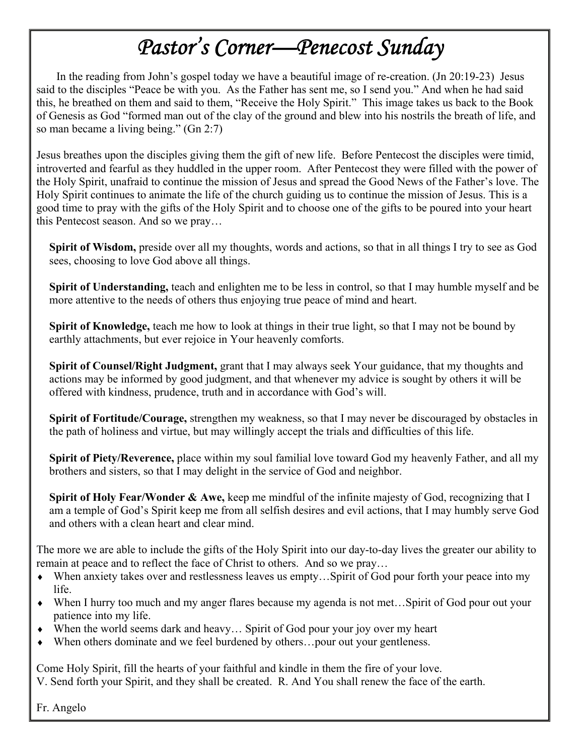# *Pastor's Corner—Penecost Sunday*

 In the reading from John's gospel today we have a beautiful image of re-creation. (Jn 20:19-23) Jesus said to the disciples "Peace be with you. As the Father has sent me, so I send you." And when he had said this, he breathed on them and said to them, "Receive the Holy Spirit." This image takes us back to the Book of Genesis as God "formed man out of the clay of the ground and blew into his nostrils the breath of life, and so man became a living being." (Gn 2:7)

Jesus breathes upon the disciples giving them the gift of new life. Before Pentecost the disciples were timid, introverted and fearful as they huddled in the upper room. After Pentecost they were filled with the power of the Holy Spirit, unafraid to continue the mission of Jesus and spread the Good News of the Father's love. The Holy Spirit continues to animate the life of the church guiding us to continue the mission of Jesus. This is a good time to pray with the gifts of the Holy Spirit and to choose one of the gifts to be poured into your heart this Pentecost season. And so we pray…

**Spirit of Wisdom,** preside over all my thoughts, words and actions, so that in all things I try to see as God sees, choosing to love God above all things.

**Spirit of Understanding,** teach and enlighten me to be less in control, so that I may humble myself and be more attentive to the needs of others thus enjoying true peace of mind and heart.

**Spirit of Knowledge,** teach me how to look at things in their true light, so that I may not be bound by earthly attachments, but ever rejoice in Your heavenly comforts.

**Spirit of Counsel/Right Judgment,** grant that I may always seek Your guidance, that my thoughts and actions may be informed by good judgment, and that whenever my advice is sought by others it will be offered with kindness, prudence, truth and in accordance with God's will.

**Spirit of Fortitude/Courage,** strengthen my weakness, so that I may never be discouraged by obstacles in the path of holiness and virtue, but may willingly accept the trials and difficulties of this life.

**Spirit of Piety/Reverence,** place within my soul familial love toward God my heavenly Father, and all my brothers and sisters, so that I may delight in the service of God and neighbor.

**Spirit of Holy Fear/Wonder & Awe,** keep me mindful of the infinite majesty of God, recognizing that I am a temple of God's Spirit keep me from all selfish desires and evil actions, that I may humbly serve God and others with a clean heart and clear mind.

The more we are able to include the gifts of the Holy Spirit into our day-to-day lives the greater our ability to remain at peace and to reflect the face of Christ to others. And so we pray…

- When anxiety takes over and restlessness leaves us empty...Spirit of God pour forth your peace into my life.
- When I hurry too much and my anger flares because my agenda is not met... Spirit of God pour out your patience into my life.
- When the world seems dark and heavy... Spirit of God pour your joy over my heart
- When others dominate and we feel burdened by others...pour out your gentleness.

Come Holy Spirit, fill the hearts of your faithful and kindle in them the fire of your love. V. Send forth your Spirit, and they shall be created. R. And You shall renew the face of the earth.

Fr. Angelo